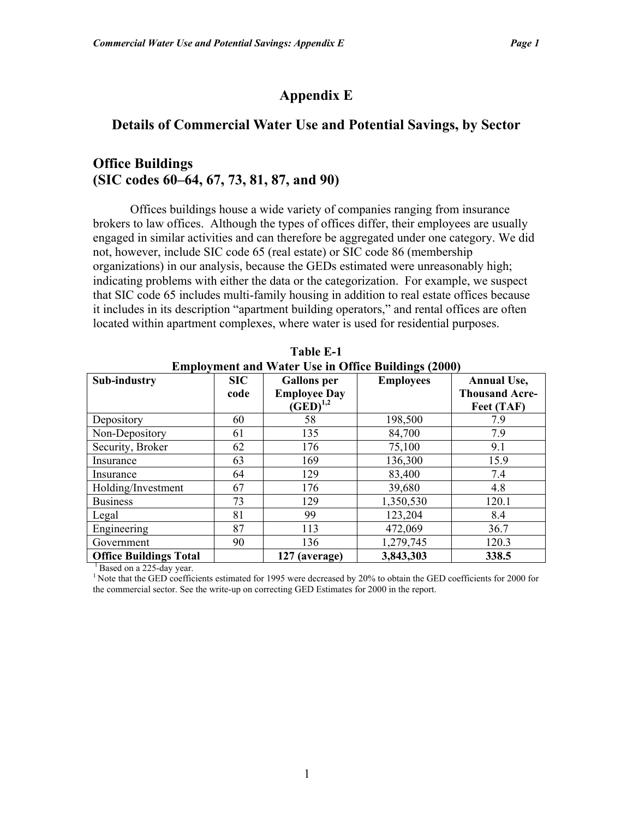# **Appendix E**

## **Details of Commercial Water Use and Potential Savings, by Sector**

# **Office Buildings (SIC codes 60–64, 67, 73, 81, 87, and 90)**

Offices buildings house a wide variety of companies ranging from insurance brokers to law offices. Although the types of offices differ, their employees are usually engaged in similar activities and can therefore be aggregated under one category. We did not, however, include SIC code 65 (real estate) or SIC code 86 (membership organizations) in our analysis, because the GEDs estimated were unreasonably high; indicating problems with either the data or the categorization. For example, we suspect that SIC code 65 includes multi-family housing in addition to real estate offices because it includes in its description "apartment building operators," and rental offices are often located within apartment complexes, where water is used for residential purposes.

|                               |                                     | <b>Employment and Water Use in Office Buildings (2000)</b> |                  |                                                           |
|-------------------------------|-------------------------------------|------------------------------------------------------------|------------------|-----------------------------------------------------------|
| Sub-industry                  | $\boldsymbol{\mathrm{SIC}}$<br>code | <b>Gallons</b> per<br><b>Employee Day</b><br>$(GED)^{1,2}$ | <b>Employees</b> | <b>Annual Use,</b><br><b>Thousand Acre-</b><br>Feet (TAF) |
| Depository                    | 60                                  | 58                                                         | 198,500          | 7.9                                                       |
| Non-Depository                | 61                                  | 135                                                        | 84,700           | 7.9                                                       |
| Security, Broker              | 62                                  | 176                                                        | 75,100           | 9.1                                                       |
| Insurance                     | 63                                  | 169                                                        | 136,300          | 15.9                                                      |
| Insurance                     | 64                                  | 129                                                        | 83,400           | 7.4                                                       |
| Holding/Investment            | 67                                  | 176                                                        | 39,680           | 4.8                                                       |
| <b>Business</b>               | 73                                  | 129                                                        | 1,350,530        | 120.1                                                     |
| Legal                         | 81                                  | 99                                                         | 123,204          | 8.4                                                       |
| Engineering                   | 87                                  | 113                                                        | 472,069          | 36.7                                                      |
| Government                    | 90                                  | 136                                                        | 1,279,745        | 120.3                                                     |
| <b>Office Buildings Total</b> |                                     | 127 (average)                                              | 3,843,303        | 338.5                                                     |

**Table E-1 Employment and Water Use in Office Buildings (2000)** 

<sup>1</sup> Based on a 225-day year.

<sup>1</sup> Note that the GED coefficients estimated for 1995 were decreased by 20% to obtain the GED coefficients for 2000 for the commercial sector. See the write-up on correcting GED Estimates for 2000 in the report.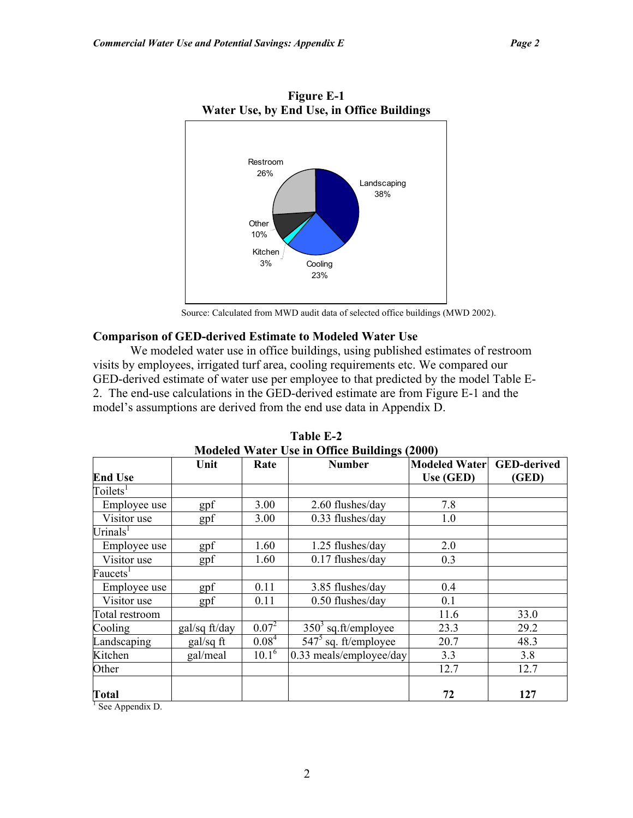

**Figure E-1** 

Source: Calculated from MWD audit data of selected office buildings (MWD 2002).

### **Comparison of GED-derived Estimate to Modeled Water Use**

We modeled water use in office buildings, using published estimates of restroom visits by employees, irrigated turf area, cooling requirements etc. We compared our GED-derived estimate of water use per employee to that predicted by the model Table E-2. The end-use calculations in the GED-derived estimate are from Figure E-1 and the model's assumptions are derived from the end use data in Appendix D.

|                      | Modeled Water Use in Office Bundings (2000) |                   |                         |                      |                    |  |  |  |
|----------------------|---------------------------------------------|-------------------|-------------------------|----------------------|--------------------|--|--|--|
|                      | Unit                                        | Rate              | <b>Number</b>           | <b>Modeled Water</b> | <b>GED-derived</b> |  |  |  |
| <b>End Use</b>       |                                             |                   |                         | Use (GED)            | (GED)              |  |  |  |
| Toilets <sup>1</sup> |                                             |                   |                         |                      |                    |  |  |  |
| Employee use         | gpf                                         | 3.00              | 2.60 flushes/day        | 7.8                  |                    |  |  |  |
| Visitor use          | gpf                                         | 3.00              | 0.33 flushes/day        | 1.0                  |                    |  |  |  |
| Urinals <sup>1</sup> |                                             |                   |                         |                      |                    |  |  |  |
| Employee use         | gpf                                         | 1.60              | 1.25 flushes/day        | 2.0                  |                    |  |  |  |
| Visitor use          | gpf                                         | 1.60              | $0.17$ flushes/day      | 0.3                  |                    |  |  |  |
| Faucets <sup>1</sup> |                                             |                   |                         |                      |                    |  |  |  |
| Employee use         | gpf                                         | 0.11              | 3.85 flushes/day        | 0.4                  |                    |  |  |  |
| Visitor use          | gpf                                         | 0.11              | 0.50 flushes/day        | 0.1                  |                    |  |  |  |
| Total restroom       |                                             |                   |                         | 11.6                 | 33.0               |  |  |  |
| Cooling              | gal/sq ft/day                               | $0.07^{2}$        | $3503$ sq.ft/employee   | 23.3                 | 29.2               |  |  |  |
| Landscaping          | $gal/sq$ ft                                 | 0.08 <sup>4</sup> | $5475$ sq. ft/employee  | 20.7                 | 48.3               |  |  |  |
| Kitchen              | gal/meal                                    | $10.1^6$          | 0.33 meals/employee/day | 3.3                  | 3.8                |  |  |  |
| Other                |                                             |                   |                         | 12.7                 | 12.7               |  |  |  |
| <b>Total</b>         |                                             |                   |                         | 72                   | 127                |  |  |  |

**Table E-2 Modeled Water Use in Office Buildings (2000)** 

 $<sup>1</sup>$  See Appendix D.</sup>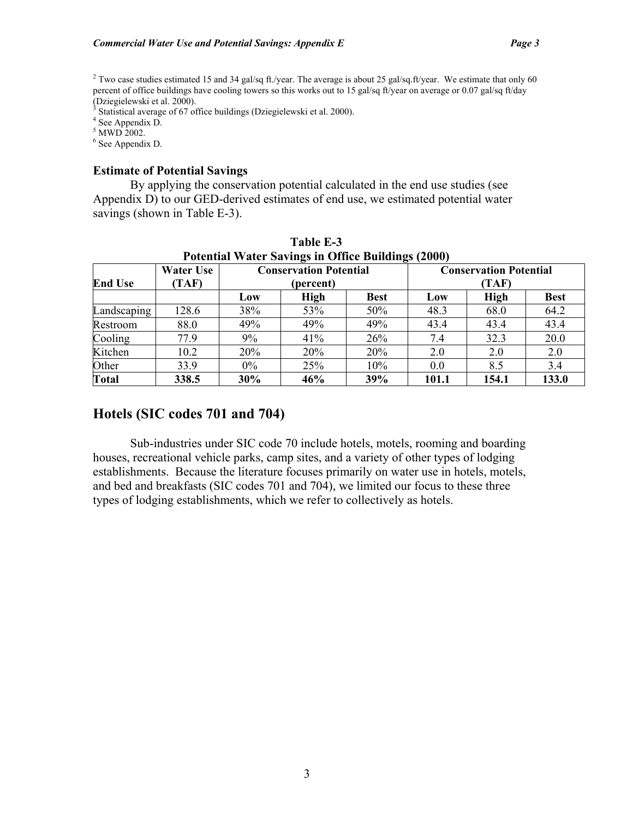<sup>3</sup> Statistical average of 67 office buildings (Dziegielewski et al. 2000).

 $4$  See Appendix D.

 $<sup>5</sup>$  MWD 2002.</sup>

6 See Appendix D.

### **Estimate of Potential Savings**

By applying the conservation potential calculated in the end use studies (see Appendix D) to our GED-derived estimates of end use, we estimated potential water savings (shown in Table E-3).

|                                                                                                                                    | 1 49.VIV 13 V<br><b>Potential Water Savings in Office Buildings (2000)</b> |       |      |             |       |             |             |  |  |  |
|------------------------------------------------------------------------------------------------------------------------------------|----------------------------------------------------------------------------|-------|------|-------------|-------|-------------|-------------|--|--|--|
| <b>Conservation Potential</b><br><b>Water Use</b><br><b>Conservation Potential</b><br><b>End Use</b><br>TAF)<br>(TAF)<br>(percent) |                                                                            |       |      |             |       |             |             |  |  |  |
|                                                                                                                                    |                                                                            | Low   | High | <b>Best</b> | Low   | <b>High</b> | <b>Best</b> |  |  |  |
| Landscaping                                                                                                                        | 128.6                                                                      | 38%   | 53%  | 50%         | 48.3  | 68.0        | 64.2        |  |  |  |
| Restroom                                                                                                                           | 88.0                                                                       | 49%   | 49%  | 49%         | 43.4  | 43.4        | 43.4        |  |  |  |
| Cooling                                                                                                                            | 77.9                                                                       | 9%    | 41%  | 26%         | 7.4   | 32.3        | 20.0        |  |  |  |
| Kitchen                                                                                                                            | 10.2                                                                       | 20%   | 20%  | <b>20%</b>  | 2.0   | 2.0         | 2.0         |  |  |  |
| Other                                                                                                                              | 33.9                                                                       | $0\%$ | 25%  | 10%         | 0.0   | 8.5         | 3.4         |  |  |  |
| <b>Total</b>                                                                                                                       | 338.5                                                                      | 30%   | 46%  | 39%         | 101.1 | 154.1       | 133.0       |  |  |  |

**Table E-3** 

# **Hotels (SIC codes 701 and 704)**

Sub-industries under SIC code 70 include hotels, motels, rooming and boarding houses, recreational vehicle parks, camp sites, and a variety of other types of lodging establishments. Because the literature focuses primarily on water use in hotels, motels, and bed and breakfasts (SIC codes 701 and 704), we limited our focus to these three types of lodging establishments, which we refer to collectively as hotels.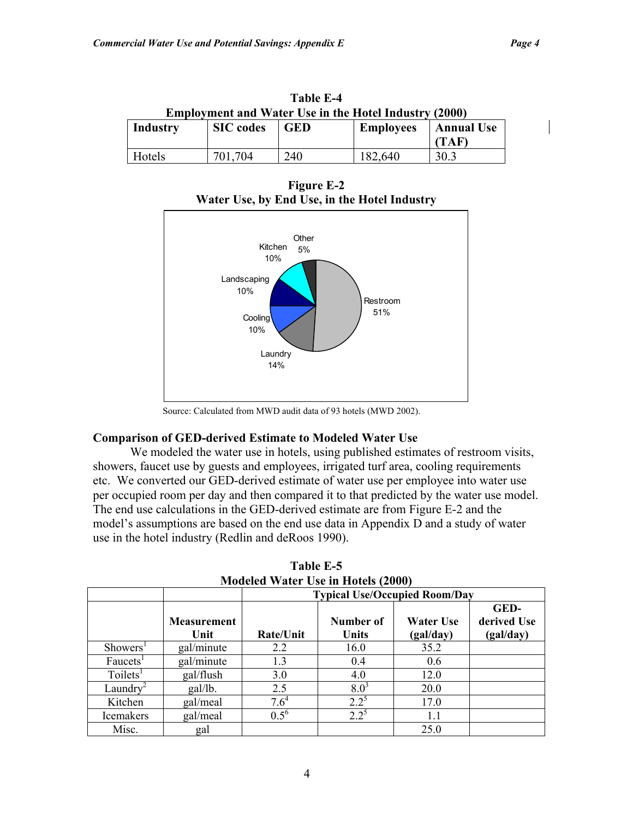| <b>Lable E-4</b><br><b>Employment and Water Use in the Hotel Industry (2000)</b> |                  |            |                  |                            |  |
|----------------------------------------------------------------------------------|------------------|------------|------------------|----------------------------|--|
| Industry                                                                         | <b>SIC</b> codes | <b>GED</b> | <b>Employees</b> | <b>Annual Use</b><br>(TAF) |  |
| Hotels                                                                           | 701 704          | 240        | 182,640          | 30.3                       |  |

**Table E-4** 

**Figure E-2 Water Use, by End Use, in the Hotel Industry** 



Source: Calculated from MWD audit data of 93 hotels (MWD 2002).

### **Comparison of GED-derived Estimate to Modeled Water Use**

We modeled the water use in hotels, using published estimates of restroom visits, showers, faucet use by guests and employees, irrigated turf area, cooling requirements etc. We converted our GED-derived estimate of water use per employee into water use per occupied room per day and then compared it to that predicted by the water use model. The end use calculations in the GED-derived estimate are from Figure E-2 and the model's assumptions are based on the end use data in Appendix D and a study of water use in the hotel industry (Redlin and deRoos 1990).

|                      |                            |           | $1110$ across $11$ and $110$ and $110$ and $1000$<br><b>Typical Use/Occupied Room/Day</b> |                        |                                  |
|----------------------|----------------------------|-----------|-------------------------------------------------------------------------------------------|------------------------|----------------------------------|
|                      | <b>Measurement</b><br>Unit | Rate/Unit | Number of<br>Units                                                                        | Water Use<br>(gal/day) | GED-<br>derived Use<br>(gal/day) |
| Showers <sup>1</sup> | gal/minute                 | 2.2       | 16.0                                                                                      | 35.2                   |                                  |
| Faucets <sup>1</sup> | gal/minute                 | 1.3       | 0.4                                                                                       | 0.6                    |                                  |
| Toilets <sup>1</sup> | gal/flush                  | 3.0       | 4.0                                                                                       | 12.0                   |                                  |
| Laundry              | gal/lb.                    | 2.5       | 8.0 <sup>3</sup>                                                                          | 20.0                   |                                  |
| Kitchen              | gal/meal                   | $7.6^4$   | $2.2^{\circ}$                                                                             | 17.0                   |                                  |
| <b>Icemakers</b>     | gal/meal                   | $0.5^6$   | $2.2^{5}$                                                                                 | 1.1                    |                                  |
| Misc.                | gal                        |           |                                                                                           | 25.0                   |                                  |

**Table E-5 Modeled Water Use in Hotels (2000)**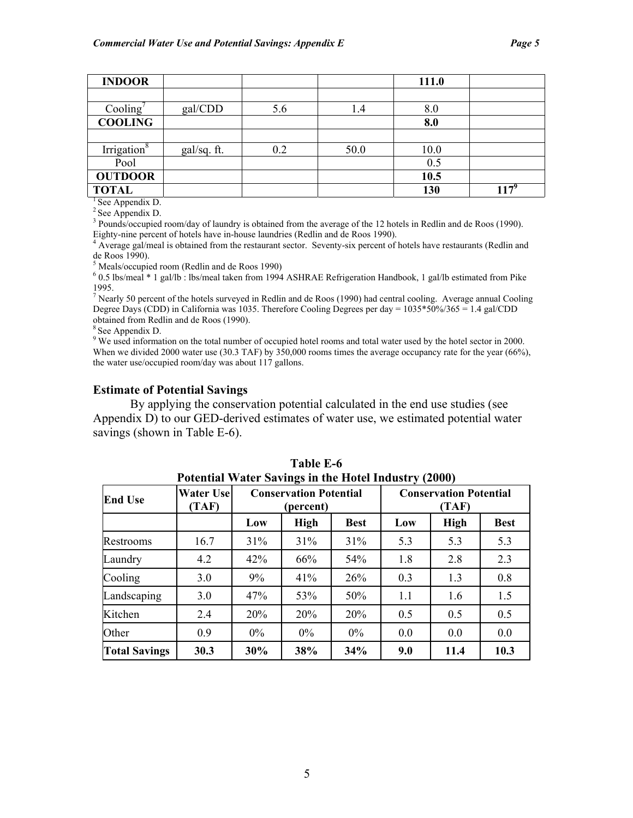| <b>INDOOR</b>           |             |     |      | 111.0 |         |
|-------------------------|-------------|-----|------|-------|---------|
|                         |             |     |      |       |         |
| Cooling                 | gal/CDD     | 5.6 | 1.4  | 8.0   |         |
| <b>COOLING</b>          |             |     |      | 8.0   |         |
|                         |             |     |      |       |         |
| Irrigation <sup>8</sup> | gal/sq. ft. | 0.2 | 50.0 | 10.0  |         |
| Pool                    |             |     |      | 0.5   |         |
| <b>OUTDOOR</b>          |             |     |      | 10.5  |         |
| <b>TOTAL</b>            |             |     |      | 130   | $117^9$ |

 $<sup>1</sup>$  See Appendix D.</sup>

 $2$  See Appendix D.

<sup>3</sup> Pounds/occupied room/day of laundry is obtained from the average of the 12 hotels in Redlin and de Roos (1990).

Eighty-nine percent of hotels have in-house laundries (Redlin and de Roos 1990).<br><sup>4</sup> Average gal/meal is obtained from the restaurant sector. Seventy-six percent of hotels have restaurants (Redlin and de Roos 1990).

<sup>5</sup> Meals/occupied room (Redlin and de Roos 1990)<br> $\frac{6}{5}$  0.5 lbs/meal \* 1.99/lb ; lbs/meal taken from 1994

 0.5 lbs/meal \* 1 gal/lb : lbs/meal taken from 1994 ASHRAE Refrigeration Handbook, 1 gal/lb estimated from Pike 1995.

<sup>7</sup> Nearly 50 percent of the hotels surveyed in Redlin and de Roos (1990) had central cooling. Average annual Cooling Degree Days (CDD) in California was 1035. Therefore Cooling Degrees per day = 1035\*50%/365 = 1.4 gal/CDD obtained from Redlin and de Roos (1990).

8 See Appendix D.

<sup>9</sup> We used information on the total number of occupied hotel rooms and total water used by the hotel sector in 2000. When we divided 2000 water use (30.3 TAF) by 350,000 rooms times the average occupancy rate for the year (66%), the water use/occupied room/day was about 117 gallons.

#### **Estimate of Potential Savings**

By applying the conservation potential calculated in the end use studies (see Appendix D) to our GED-derived estimates of water use, we estimated potential water savings (shown in Table E-6).

|                      | Potential water Savings in the Hotel Industry (2000) |       |                                            |             |     |                                        |             |  |
|----------------------|------------------------------------------------------|-------|--------------------------------------------|-------------|-----|----------------------------------------|-------------|--|
| <b>End Use</b>       | <b>Water Use</b><br>(TAF)                            |       | <b>Conservation Potential</b><br>(percent) |             |     | <b>Conservation Potential</b><br>(TAF) |             |  |
|                      |                                                      | Low   | <b>High</b>                                | <b>Best</b> | Low | <b>High</b>                            | <b>Best</b> |  |
| Restrooms            | 16.7                                                 | 31%   | 31%                                        | 31%         | 5.3 | 5.3                                    | 5.3         |  |
| Laundry              | 4.2                                                  | 42%   | 66%                                        | 54%         | 1.8 | 2.8                                    | 2.3         |  |
| Cooling              | 3.0                                                  | 9%    | 41%                                        | 26%         | 0.3 | 1.3                                    | 0.8         |  |
| Landscaping          | 3.0                                                  | 47%   | 53%                                        | 50%         | 1.1 | 1.6                                    | 1.5         |  |
| Kitchen              | 2.4                                                  | 20%   | 20%                                        | 20%         | 0.5 | 0.5                                    | 0.5         |  |
| Other                | 0.9                                                  | $0\%$ | 0%                                         | 0%          | 0.0 | 0.0                                    | 0.0         |  |
| <b>Total Savings</b> | 30.3                                                 | 30%   | 38%                                        | 34%         | 9.0 | 11.4                                   | 10.3        |  |

**Table E-6 Potential Water Savings in the Hotel Industry (2000)**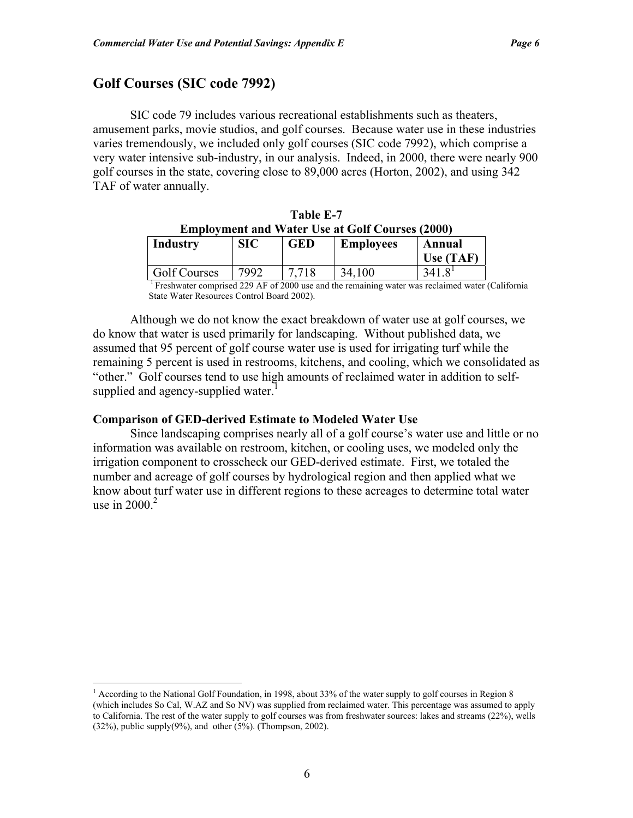┑

# **Golf Courses (SIC code 7992)**

1

SIC code 79 includes various recreational establishments such as theaters, amusement parks, movie studios, and golf courses. Because water use in these industries varies tremendously, we included only golf courses (SIC code 7992), which comprise a very water intensive sub-industry, in our analysis. Indeed, in 2000, there were nearly 900 golf courses in the state, covering close to 89,000 acres (Horton, 2002), and using 342 TAF of water annually.

|                                                                 |  | Table E-7 |  |  |  |  |
|-----------------------------------------------------------------|--|-----------|--|--|--|--|
| <b>Employment and Water Use at Golf Courses (2000)</b>          |  |           |  |  |  |  |
| Industry<br><b>SIC</b><br>  Employees<br><b>GED</b><br>  Annual |  |           |  |  |  |  |

| THUUSLI V    | $\mathbf{M}$ | urv | енирилусся | Ашпиан    |  |
|--------------|--------------|-----|------------|-----------|--|
|              |              |     |            | Use (TAF) |  |
| Golf Courses | ר00∩         |     | 34         |           |  |
|              |              |     |            |           |  |

 1 Freshwater comprised 229 AF of 2000 use and the remaining water was reclaimed water (California State Water Resources Control Board 2002).

Although we do not know the exact breakdown of water use at golf courses, we do know that water is used primarily for landscaping. Without published data, we assumed that 95 percent of golf course water use is used for irrigating turf while the remaining 5 percent is used in restrooms, kitchens, and cooling, which we consolidated as "other." Golf courses tend to use high amounts of reclaimed water in addition to selfsupplied and agency-supplied water.<sup>1</sup>

#### **Comparison of GED-derived Estimate to Modeled Water Use**

Since landscaping comprises nearly all of a golf course's water use and little or no information was available on restroom, kitchen, or cooling uses, we modeled only the irrigation component to crosscheck our GED-derived estimate. First, we totaled the number and acreage of golf courses by hydrological region and then applied what we know about turf water use in different regions to these acreages to determine total water use in  $2000.<sup>2</sup>$ 

<sup>&</sup>lt;sup>1</sup> According to the National Golf Foundation, in 1998, about 33% of the water supply to golf courses in Region 8 (which includes So Cal, W.AZ and So NV) was supplied from reclaimed water. This percentage was assumed to apply to California. The rest of the water supply to golf courses was from freshwater sources: lakes and streams (22%), wells  $(32\%)$ , public supply $(9\%)$ , and other  $(5\%)$ . (Thompson, 2002).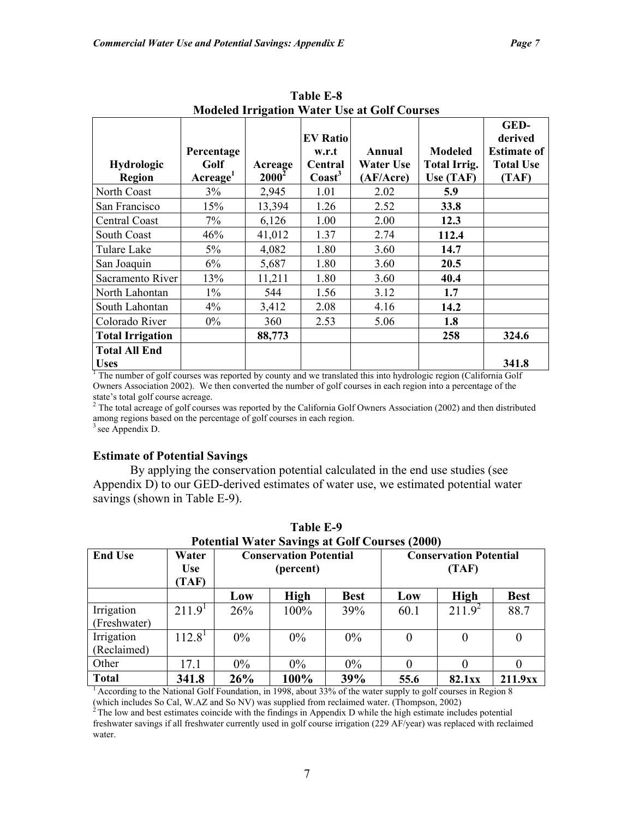|                             | <b>Modeled Irrigation Water Use at Golf Courses</b> |                     |                                                         |                                         |                                                    |                                                                    |  |  |  |
|-----------------------------|-----------------------------------------------------|---------------------|---------------------------------------------------------|-----------------------------------------|----------------------------------------------------|--------------------------------------------------------------------|--|--|--|
| <b>Hydrologic</b><br>Region | Percentage<br>Golf<br>$\rm{Average}^1$              | Acreage<br>$2000^2$ | <b>EV Ratio</b><br>w.r.t<br>Central<br>$\text{Coast}^3$ | Annual<br><b>Water Use</b><br>(AF/Acre) | <b>Modeled</b><br><b>Total Irrig.</b><br>Use (TAF) | GED-<br>derived<br><b>Estimate of</b><br><b>Total Use</b><br>(TAF) |  |  |  |
| North Coast                 | 3%                                                  | 2,945               | 1.01                                                    | 2.02                                    | 5.9                                                |                                                                    |  |  |  |
| San Francisco               | 15%                                                 | 13,394              | 1.26                                                    | 2.52                                    | <b>33.8</b>                                        |                                                                    |  |  |  |
| Central Coast               | 7%                                                  | 6,126               | 1.00                                                    | 2.00                                    | 12.3                                               |                                                                    |  |  |  |
| South Coast                 | 46%                                                 | 41,012              | 1.37                                                    | 2.74                                    | 112.4                                              |                                                                    |  |  |  |
| Tulare Lake                 | 5%                                                  | 4,082               | 1.80                                                    | 3.60                                    | 14.7                                               |                                                                    |  |  |  |
| San Joaquin                 | 6%                                                  | 5,687               | 1.80                                                    | 3.60                                    | 20.5                                               |                                                                    |  |  |  |
| Sacramento River            | 13%                                                 | 11,211              | 1.80                                                    | 3.60                                    | 40.4                                               |                                                                    |  |  |  |
| North Lahontan              | $1\%$                                               | 544                 | 1.56                                                    | 3.12                                    | 1.7                                                |                                                                    |  |  |  |
| South Lahontan              | $4\%$                                               | 3,412               | 2.08                                                    | 4.16                                    | 14.2                                               |                                                                    |  |  |  |
| Colorado River              | $0\%$                                               | 360                 | 2.53                                                    | 5.06                                    | 1.8                                                |                                                                    |  |  |  |
| <b>Total Irrigation</b>     |                                                     | 88,773              |                                                         |                                         | 258                                                | 324.6                                                              |  |  |  |
| <b>Total All End</b>        |                                                     |                     |                                                         |                                         |                                                    |                                                                    |  |  |  |
| <b>Uses</b>                 |                                                     |                     |                                                         |                                         |                                                    | 341.8                                                              |  |  |  |

**Table E-8** 

<sup>1</sup> The number of golf courses was reported by county and we translated this into hydrologic region (California Golf Owners Association 2002). We then converted the number of golf courses in each region into a percentage of the state's total golf course acreage.

 $2$  The total acreage of golf courses was reported by the California Golf Owners Association (2002) and then distributed among regions based on the percentage of golf courses in each region.

<sup>3</sup> see Appendix D.

### **Estimate of Potential Savings**

By applying the conservation potential calculated in the end use studies (see Appendix D) to our GED-derived estimates of water use, we estimated potential water savings (shown in Table E-9).

| <b>Potential Water Savings at Golf Courses (2000)</b> |                              |                                            |             |                                        |          |             |                  |  |
|-------------------------------------------------------|------------------------------|--------------------------------------------|-------------|----------------------------------------|----------|-------------|------------------|--|
| <b>End Use</b>                                        | Water<br><b>Use</b><br>(TAF) | <b>Conservation Potential</b><br>(percent) |             | <b>Conservation Potential</b><br>(TAF) |          |             |                  |  |
|                                                       |                              | Low                                        | <b>High</b> | <b>Best</b>                            | Low      | <b>High</b> | <b>Best</b>      |  |
| Irrigation<br>(Freshwater)                            | 211.9 <sup>1</sup>           | 26%                                        | 100%        | 39%                                    | 60.1     | $211.9^2$   | 88.7             |  |
| Irrigation<br>(Reclaimed)                             | $112.8^{\circ}$              | $0\%$                                      | $0\%$       | $0\%$                                  | $\theta$ | $\theta$    | $\boldsymbol{0}$ |  |
| Other                                                 | 17.1                         | $0\%$                                      | $0\%$       | $0\%$                                  | $\Omega$ | $\theta$    | $\theta$         |  |
| <b>Total</b>                                          | 341.8                        | 26%                                        | 100%        | 39%                                    | 55.6     | 82.1xx      | 211.9xx          |  |

**Table E-9 Potential Water Savings at Golf Courses (2000)** 

<sup>1</sup> According to the National Golf Foundation, in 1998, about 33% of the water supply to golf courses in Region 8

(which includes So Cal, W.AZ and So NV) was supplied from reclaimed water. (Thompson, 2002)  $2^2$  The low and best estimates coincide with the findings in Appendix D while the high estimate includes potential

freshwater savings if all freshwater currently used in golf course irrigation (229 AF/year) was replaced with reclaimed water.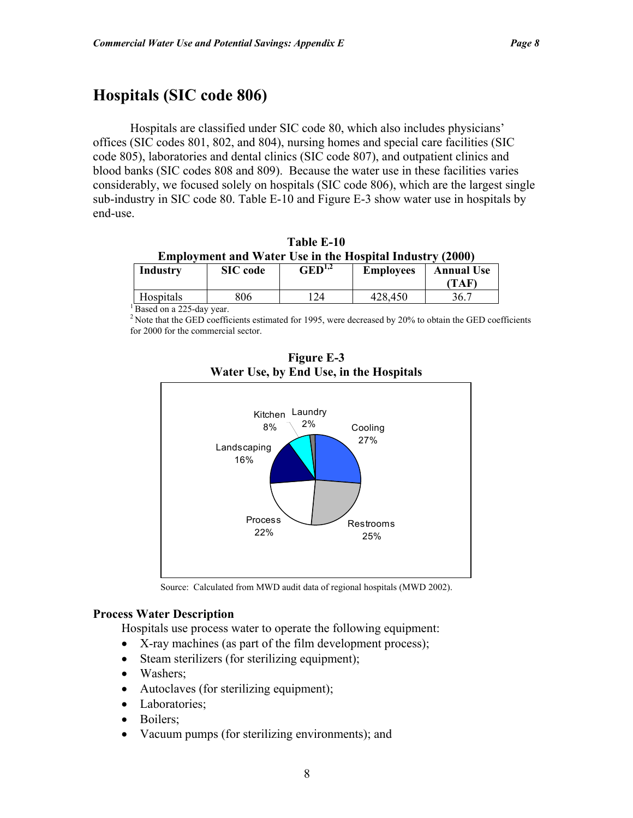# **Hospitals (SIC code 806)**

Hospitals are classified under SIC code 80, which also includes physicians' offices (SIC codes 801, 802, and 804), nursing homes and special care facilities (SIC code 805), laboratories and dental clinics (SIC code 807), and outpatient clinics and blood banks (SIC codes 808 and 809). Because the water use in these facilities varies considerably, we focused solely on hospitals (SIC code 806), which are the largest single sub-industry in SIC code 80. Table E-10 and Figure E-3 show water use in hospitals by end-use.

**Table E-10 Employment and Water Use in the Hospital Industry (2000)**

| <b>Industry</b> | <b>SIC</b> code | $\mathrm{GED}^{1,2}$ | <b>Employees</b> | <b>Annual Use</b> |
|-----------------|-----------------|----------------------|------------------|-------------------|
|                 |                 |                      |                  | TAF               |
| Hospitals       | 306             |                      | 428,450          | 36.7              |

 $\frac{1}{1}$ Based on a 225-day year.

<sup>2</sup> Note that the GED coefficients estimated for 1995, were decreased by 20% to obtain the GED coefficients for 2000 for the commercial sector.



**Figure E-3 Water Use, by End Use, in the Hospitals** 

Source: Calculated from MWD audit data of regional hospitals (MWD 2002).

#### **Process Water Description**

Hospitals use process water to operate the following equipment:

- X-ray machines (as part of the film development process);
- Steam sterilizers (for sterilizing equipment);
- Washers:
- Autoclaves (for sterilizing equipment);
- Laboratories;
- Boilers;
- Vacuum pumps (for sterilizing environments); and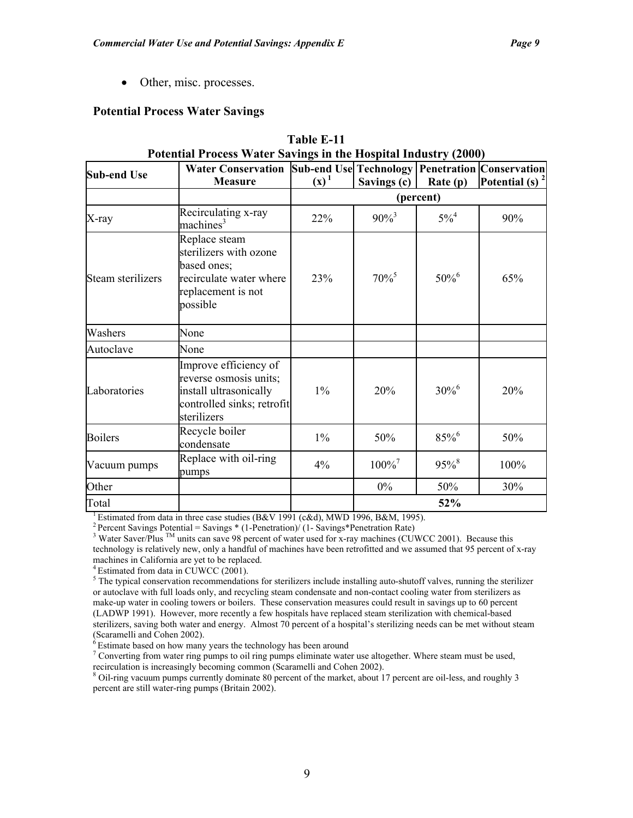• Other, misc. processes.

### **Potential Process Water Savings**

| <b>Sub-end Use</b> | $\alpha$ ordinary process water suvings in the response mutustry (2000)<br>Water Conservation Sub-end Use Technology   Penetration   Conservation |         |                      |                     |                    |
|--------------------|---------------------------------------------------------------------------------------------------------------------------------------------------|---------|----------------------|---------------------|--------------------|
|                    | <b>Measure</b>                                                                                                                                    | $(x)^1$ | Savings (c)          | Rate $(p)$          | Potential (s) $^2$ |
|                    |                                                                                                                                                   |         |                      | (percent)           |                    |
| X-ray              | Recirculating x-ray<br>machines <sup>3</sup>                                                                                                      | 22%     | $90\%$ <sup>3</sup>  | $5\%^{4}$           | 90%                |
| Steam sterilizers  | Replace steam<br>sterilizers with ozone<br>based ones;<br>recirculate water where<br>replacement is not<br>possible                               | 23%     | $70\%$ <sup>5</sup>  | $50\%$ <sup>6</sup> | 65%                |
| Washers            | None                                                                                                                                              |         |                      |                     |                    |
| Autoclave          | None                                                                                                                                              |         |                      |                     |                    |
| Laboratories       | Improve efficiency of<br>reverse osmosis units;<br>install ultrasonically<br>controlled sinks; retrofit<br>sterilizers                            | $1\%$   | 20%                  | $30\%^{6}$          | 20%                |
| <b>Boilers</b>     | Recycle boiler<br>condensate                                                                                                                      | $1\%$   | 50%                  | 85%                 | 50%                |
| Vacuum pumps       | Replace with oil-ring<br>pumps                                                                                                                    | 4%      | $100\%$ <sup>7</sup> | $95\%$ <sup>8</sup> | 100%               |
| Other              |                                                                                                                                                   |         | $0\%$                | 50%                 | 30%                |
| Total              |                                                                                                                                                   |         |                      | 52%                 |                    |

# **Table E-11 Potential Process Water Savings in the Hospital Industry (2000)**

<sup>1</sup> Estimated from data in three case studies (B&V 1991 (c&d), MWD 1996, B&M, 1995). <sup>2</sup> Percent Savings Potential = Savings \* (1-Penetration)/ (1- Savings \*Penetration Rate)

<sup>3</sup> Water Saver/Plus <sup>TM</sup> units can save 98 percent of water used for x-ray machines (CUWCC 2001). Because this technology is relatively new, only a handful of machines have been retrofitted and we assumed that 95 percent of x-ray machines in California are yet to be replaced.

 $4$  Estimated from data in CUWCC (2001).

 $5$  The typical conservation recommendations for sterilizers include installing auto-shutoff valves, running the sterilizer or autoclave with full loads only, and recycling steam condensate and non-contact cooling water from sterilizers as make-up water in cooling towers or boilers. These conservation measures could result in savings up to 60 percent (LADWP 1991). However, more recently a few hospitals have replaced steam sterilization with chemical-based sterilizers, saving both water and energy. Almost 70 percent of a hospital's sterilizing needs can be met without steam (Scaramelli and Cohen 2002).

 $6$  Estimate based on how many years the technology has been around

<sup>7</sup> Converting from water ring pumps to oil ring pumps eliminate water use altogether. Where steam must be used, recirculation is increasingly becoming common (Scaramelli and Cohen 2002).

<sup>8</sup> Oil-ring vacuum pumps currently dominate 80 percent of the market, about 17 percent are oil-less, and roughly 3 percent are still water-ring pumps (Britain 2002).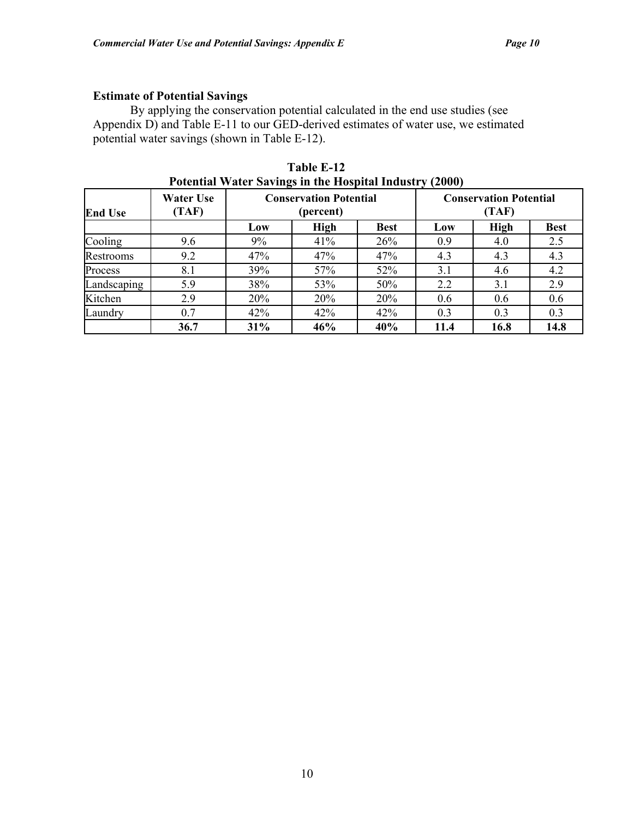### **Estimate of Potential Savings**

By applying the conservation potential calculated in the end use studies (see Appendix D) and Table E-11 to our GED-derived estimates of water use, we estimated potential water savings (shown in Table E-12).

| <b>End Use</b> | <b>Water Use</b><br>(TAF) | <b>Conservation Potential</b><br>(percent) |             |             | <b>Conservation Potential</b><br>(TAF) |             |             |
|----------------|---------------------------|--------------------------------------------|-------------|-------------|----------------------------------------|-------------|-------------|
|                |                           | Low                                        | <b>High</b> | <b>Best</b> | Low                                    | <b>High</b> | <b>Best</b> |
| Cooling        | 9.6                       | 9%                                         | 41%         | 26%         | 0.9                                    | 4.0         | 2.5         |
| Restrooms      | 9.2                       | 47%                                        | 47%         | 47%         | 4.3                                    | 4.3         | 4.3         |
| Process        | 8.1                       | 39%                                        | 57%         | 52%         | 3.1                                    | 4.6         | 4.2         |
| Landscaping    | 5.9                       | 38%                                        | 53%         | 50%         | 2.2                                    | 3.1         | 2.9         |
| Kitchen        | 2.9                       | 20%                                        | 20%         | 20%         | 0.6                                    | 0.6         | 0.6         |
| Laundry        | 0.7                       | 42%                                        | 42%         | 42%         | 0.3                                    | 0.3         | 0.3         |
|                | 36.7                      | 31%                                        | 46%         | 40%         | 11.4                                   | 16.8        | 14.8        |

**Table E-12 Potential Water Savings in the Hospital Industry (2000)**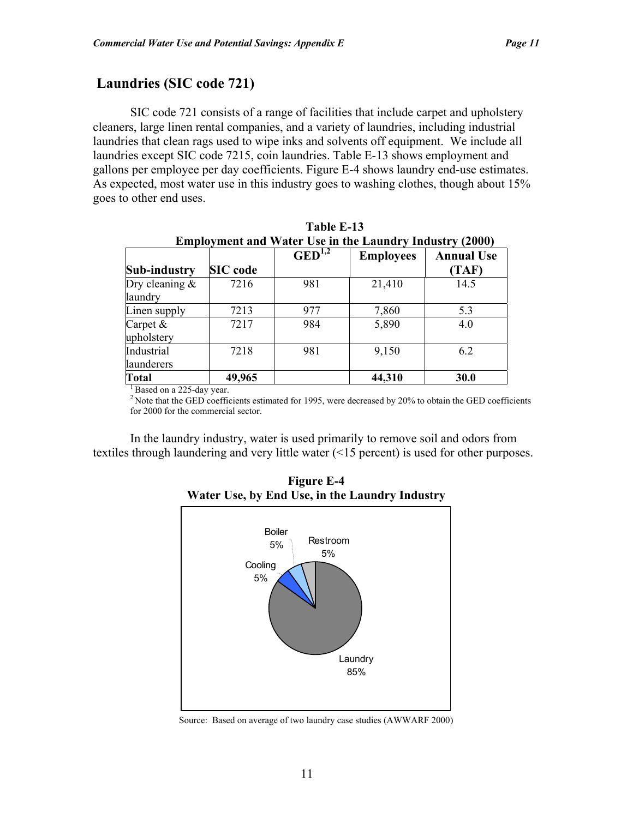# **Laundries (SIC code 721)**

SIC code 721 consists of a range of facilities that include carpet and upholstery cleaners, large linen rental companies, and a variety of laundries, including industrial laundries that clean rags used to wipe inks and solvents off equipment. We include all laundries except SIC code 7215, coin laundries. Table E-13 shows employment and gallons per employee per day coefficients. Figure E-4 shows laundry end-use estimates. As expected, most water use in this industry goes to washing clothes, though about 15% goes to other end uses.

| <b>Employment and Water Use in the Laundry Industry (2000)</b> |                 |                    |                  |                            |  |
|----------------------------------------------------------------|-----------------|--------------------|------------------|----------------------------|--|
| <b>Sub-industry</b>                                            | <b>SIC</b> code | $\text{GED}^{1,2}$ | <b>Employees</b> | <b>Annual Use</b><br>(TAF) |  |
|                                                                |                 |                    |                  |                            |  |
| Dry cleaning $\&$                                              | 7216            | 981                | 21,410           | 14.5                       |  |
| laundry                                                        |                 |                    |                  |                            |  |
| Linen supply                                                   | 7213            | 977                | 7,860            | 5.3                        |  |
| Carpet $\&$                                                    | 7217            | 984                | 5,890            | 4.0                        |  |
| upholstery                                                     |                 |                    |                  |                            |  |
| Industrial                                                     | 7218            | 981                | 9,150            | 6.2                        |  |
| launderers                                                     |                 |                    |                  |                            |  |
| <b>Total</b>                                                   | 49,965          |                    | 44,310           | 30.0                       |  |

| Table E-13                                                     |
|----------------------------------------------------------------|
| <b>Employment and Water Use in the Laundry Industry (2000)</b> |
|                                                                |

 $<sup>1</sup>$  Based on a 225-day year.</sup>

<sup>2</sup> Note that the GED coefficients estimated for 1995, were decreased by 20% to obtain the GED coefficients for 2000 for the commercial sector.

In the laundry industry, water is used primarily to remove soil and odors from textiles through laundering and very little water (<15 percent) is used for other purposes.



**Figure E-4 Water Use, by End Use, in the Laundry Industry** 

Source: Based on average of two laundry case studies (AWWARF 2000)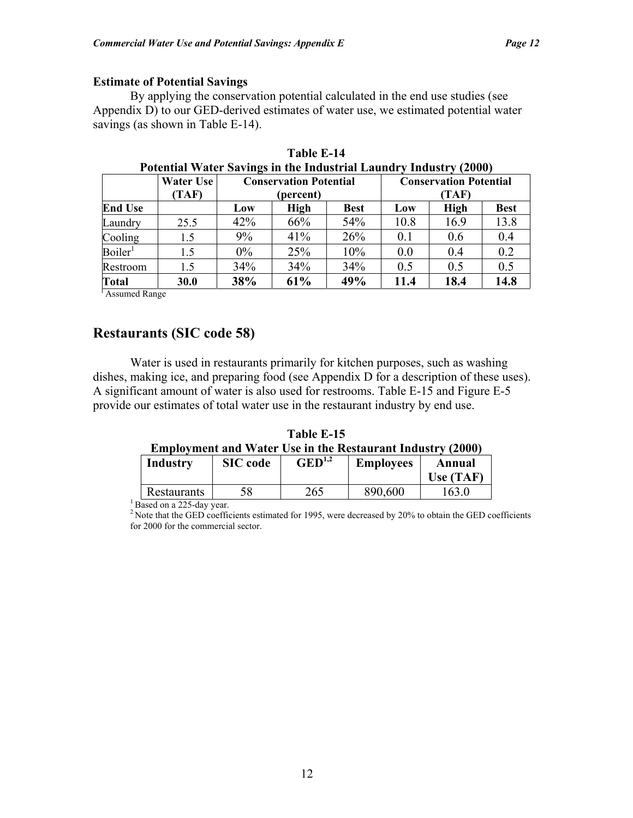### **Estimate of Potential Savings**

By applying the conservation potential calculated in the end use studies (see Appendix D) to our GED-derived estimates of water use, we estimated potential water savings (as shown in Table E-14).

|                     | Water Use | <b>Conservation Potential</b> |           |             | <b>Conservation Potential</b> |             |             |
|---------------------|-----------|-------------------------------|-----------|-------------|-------------------------------|-------------|-------------|
|                     | (TAF)     |                               | (percent) |             |                               | (TAF)       |             |
| <b>End Use</b>      |           | Low                           | High      | <b>Best</b> | Low                           | <b>High</b> | <b>Best</b> |
| Laundry             | 25.5      | 42%                           | 66%       | 54%         | 10.8                          | 16.9        | 13.8        |
| Cooling             | 1.5       | 9%                            | 41%       | 26%         | 0.1                           | 0.6         | 0.4         |
| Boiler <sup>1</sup> | 1.5       | $0\%$                         | 25%       | 10%         | 0.0                           | 0.4         | 0.2         |
| Restroom            | 1.5       | 34%                           | 34%       | 34%         | 0.5                           | 0.5         | 0.5         |
| Total               | 30.0      | 38%                           | 61%       | 49%         | 11.4                          | 18.4        | 14.8        |

| Table E-14                                                        |
|-------------------------------------------------------------------|
| Potential Water Savings in the Industrial Laundry Industry (2000) |

<sup>1</sup> Assumed Range

### **Restaurants (SIC code 58)**

Water is used in restaurants primarily for kitchen purposes, such as washing dishes, making ice, and preparing food (see Appendix D for a description of these uses). A significant amount of water is also used for restrooms. Table E-15 and Figure E-5 provide our estimates of total water use in the restaurant industry by end use.

**Table E-15** 

| <b>Employment and Water Use in the Restaurant Industry (2000)</b> |  |  |
|-------------------------------------------------------------------|--|--|
|                                                                   |  |  |

| Industry           | <b>SIC</b> code | $\text{GED}^{1,2}$ | <b>Employees</b> | Annual      |
|--------------------|-----------------|--------------------|------------------|-------------|
|                    |                 |                    |                  | Use $(TAF)$ |
| <b>Restaurants</b> |                 | 265                | 890,600          | 63.0        |

 $\frac{1}{1}$  Based on a 225-day year.

<sup>2</sup> Note that the GED coefficients estimated for 1995, were decreased by 20% to obtain the GED coefficients for 2000 for the commercial sector.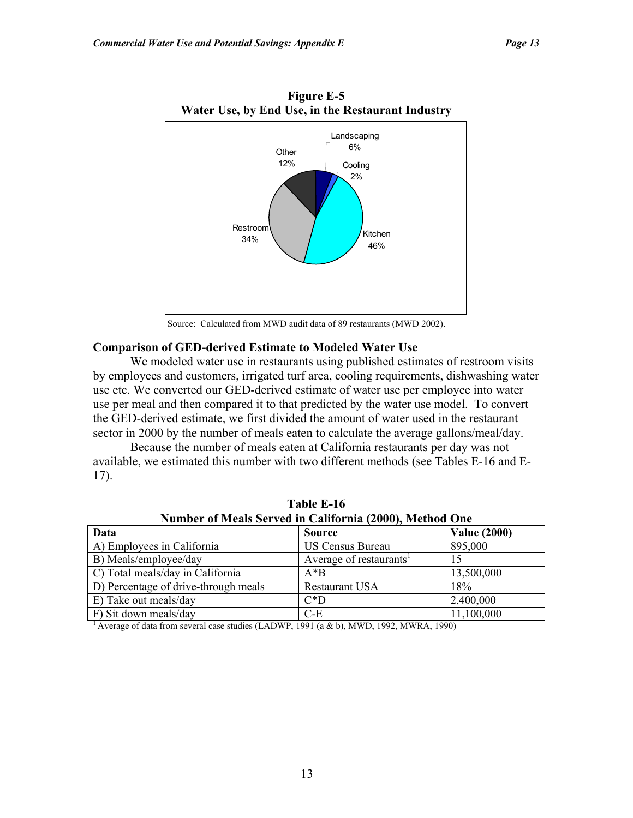

**Figure E-5 Water Use, by End Use, in the Restaurant Industry** 

Source: Calculated from MWD audit data of 89 restaurants (MWD 2002).

### **Comparison of GED-derived Estimate to Modeled Water Use**

We modeled water use in restaurants using published estimates of restroom visits by employees and customers, irrigated turf area, cooling requirements, dishwashing water use etc. We converted our GED-derived estimate of water use per employee into water use per meal and then compared it to that predicted by the water use model. To convert the GED-derived estimate, we first divided the amount of water used in the restaurant sector in 2000 by the number of meals eaten to calculate the average gallons/meal/day.

 Because the number of meals eaten at California restaurants per day was not available, we estimated this number with two different methods (see Tables E-16 and E-17).

| Number of Meals Served in California (2000), Method One |                                     |                     |  |  |  |
|---------------------------------------------------------|-------------------------------------|---------------------|--|--|--|
| Data                                                    | <b>Source</b>                       | <b>Value (2000)</b> |  |  |  |
| A) Employees in California                              | <b>US Census Bureau</b>             | 895,000             |  |  |  |
| B) Meals/employee/day                                   | Average of restaurants <sup>1</sup> |                     |  |  |  |
| C) Total meals/day in California                        | $A*B$                               | 13,500,000          |  |  |  |
| D) Percentage of drive-through meals                    | <b>Restaurant USA</b>               | 18%                 |  |  |  |
| E) Take out meals/day                                   | $C^*D$                              | 2,400,000           |  |  |  |
| F) Sit down meals/day                                   | $C-E$                               | 11,100,000          |  |  |  |

**Table E-16 Number of Meals Served in California (2000), Method One** 

 $\frac{1}{1}$  Average of data from several case studies (LADWP, 1991 (a & b), MWD, 1992, MWRA, 1990)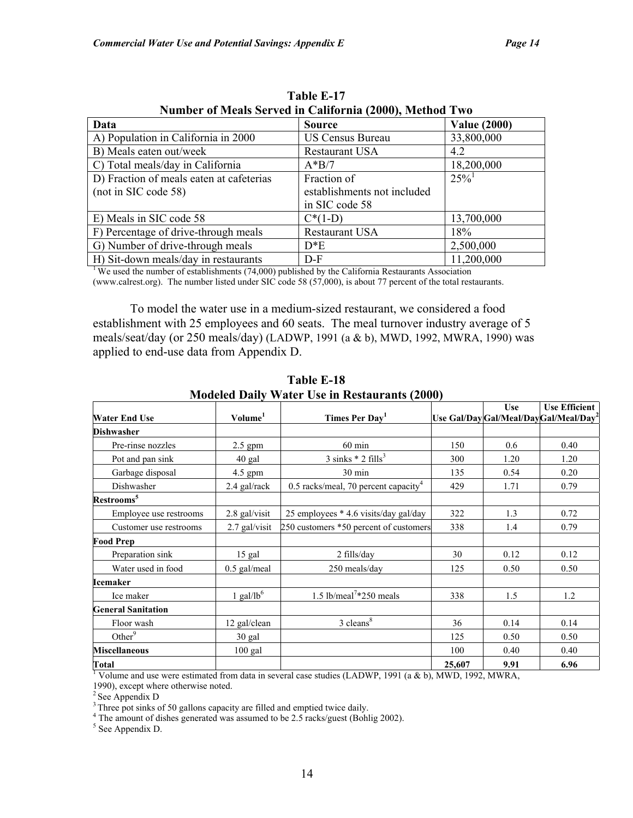| Number of Meals Served in California (2000), Method Two |                             |                     |  |  |  |
|---------------------------------------------------------|-----------------------------|---------------------|--|--|--|
| Data                                                    | <b>Source</b>               | <b>Value (2000)</b> |  |  |  |
| A) Population in California in 2000                     | <b>US Census Bureau</b>     | 33,800,000          |  |  |  |
| B) Meals eaten out/week                                 | Restaurant USA              | 4.2                 |  |  |  |
| C) Total meals/day in California                        | $A*B/7$                     | 18,200,000          |  |  |  |
| D) Fraction of meals eaten at cafeterias                | Fraction of                 | $25\%$              |  |  |  |
| (not in SIC code 58)                                    | establishments not included |                     |  |  |  |
|                                                         | in SIC code 58              |                     |  |  |  |
| E) Meals in SIC code 58                                 | $C^*(1-D)$                  | 13,700,000          |  |  |  |
| F) Percentage of drive-through meals                    | Restaurant USA              | 18%                 |  |  |  |
| G) Number of drive-through meals                        | $D^*E$                      | 2,500,000           |  |  |  |
| H) Sit-down meals/day in restaurants                    | $D-F$                       | 11,200,000          |  |  |  |

**Table E-17** 

<sup>1</sup> We used the number of establishments (74,000) published by the California Restaurants Association

(www.calrest.org). The number listed under SIC code 58 (57,000), is about 77 percent of the total restaurants.

To model the water use in a medium-sized restaurant, we considered a food establishment with 25 employees and 60 seats. The meal turnover industry average of 5 meals/seat/day (or 250 meals/day) (LADWP, 1991 (a & b), MWD, 1992, MWRA, 1990) was applied to end-use data from Appendix D.

|                           |                     |                                                  |        | <b>Use</b> | <b>Use Efficient</b>                               |
|---------------------------|---------------------|--------------------------------------------------|--------|------------|----------------------------------------------------|
| <b>Water End Use</b>      | Volume <sup>1</sup> | Times Per Day <sup>1</sup>                       |        |            | Use Gal/Day Gal/Meal/Day Gal/Meal/Day <sup>2</sup> |
| <b>Dishwasher</b>         |                     |                                                  |        |            |                                                    |
| Pre-rinse nozzles         | $2.5$ gpm           | $60 \text{ min}$                                 | 150    | 0.6        | 0.40                                               |
| Pot and pan sink          | 40 gal              | $3 \text{ sinks} * 2 \text{ fills}^3$            | 300    | 1.20       | 1.20                                               |
| Garbage disposal          | 4.5 gpm             | 30 min                                           | 135    | 0.54       | 0.20                                               |
| Dishwasher                | 2.4 gal/rack        | 0.5 racks/meal, 70 percent capacity <sup>4</sup> | 429    | 1.71       | 0.79                                               |
| Restrooms <sup>5</sup>    |                     |                                                  |        |            |                                                    |
| Employee use restrooms    | 2.8 gal/visit       | 25 employees * 4.6 visits/day gal/day            | 322    | 1.3        | 0.72                                               |
| Customer use restrooms    | 2.7 gal/visit       | 250 customers *50 percent of customers           | 338    | 1.4        | 0.79                                               |
| <b>Food Prep</b>          |                     |                                                  |        |            |                                                    |
| Preparation sink          | 15 gal              | $2$ fills/day                                    | 30     | 0.12       | 0.12                                               |
| Water used in food        | 0.5 gal/meal        | 250 meals/day                                    | 125    | 0.50       | 0.50                                               |
| <b>Icemaker</b>           |                     |                                                  |        |            |                                                    |
| Ice maker                 | 1 gal/l $b6$        | 1.5 lb/meal <sup>7*</sup> 250 meals              | 338    | 1.5        | 1.2                                                |
| <b>General Sanitation</b> |                     |                                                  |        |            |                                                    |
| Floor wash                | 12 gal/clean        | 3 cleans <sup>8</sup>                            | 36     | 0.14       | 0.14                                               |
| Other $9$                 | 30 gal              |                                                  | 125    | 0.50       | 0.50                                               |
| <b>Miscellaneous</b>      | $100$ gal           |                                                  | 100    | 0.40       | 0.40                                               |
| <b>Total</b>              |                     |                                                  | 25,607 | 9.91       | 6.96                                               |

**Table E-18 Modeled Daily Water Use in Restaurants (2000)** 

<sup>1</sup> Volume and use were estimated from data in several case studies (LADWP, 1991 (a & b), MWD, 1992, MWRA,

1990), except where otherwise noted.

<sup>2</sup> See Appendix D

 $3$ <sup>3</sup> Three pot sinks of 50 gallons capacity are filled and emptied twice daily.

<sup>4</sup> The amount of dishes generated was assumed to be 2.5 racks/guest (Bohlig 2002).

<sup>5</sup> See Appendix D.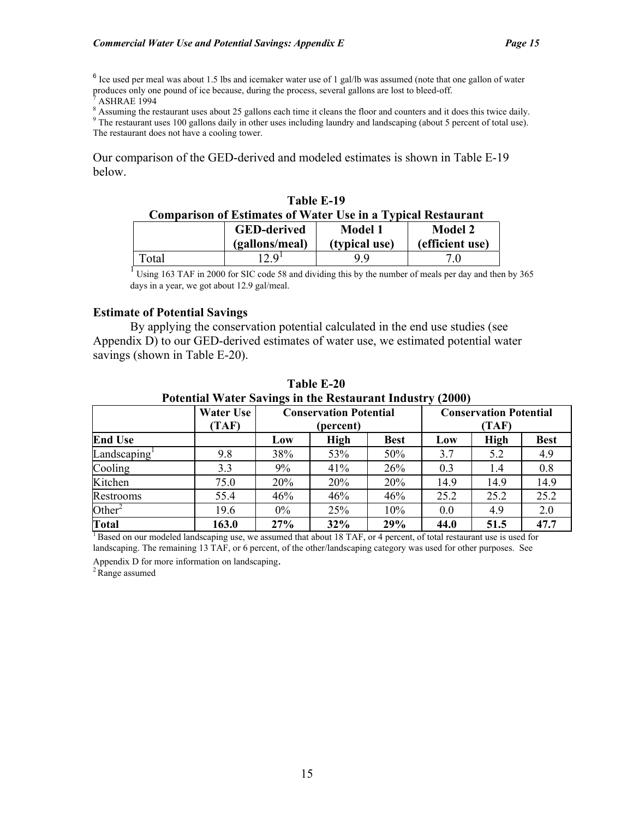$6$  Ice used per meal was about 1.5 lbs and icemaker water use of 1 gal/lb was assumed (note that one gallon of water produces only one pound of ice because, during the process, several gallons are lost to bleed-off.

7 ASHRAE 1994

 $\frac{8}{2}$  Assuming the restaurant uses about 25 gallons each time it cleans the floor and counters and it does this twice daily.

<sup>9</sup> The restaurant uses 100 gallons daily in other uses including laundry and landscaping (about 5 percent of total use). The restaurant does not have a cooling tower.

Our comparison of the GED-derived and modeled estimates is shown in Table E-19 below.

| Table E-19                                                                                            |       |    |  |  |  |  |
|-------------------------------------------------------------------------------------------------------|-------|----|--|--|--|--|
| <b>Comparison of Estimates of Water Use in a Typical Restaurant</b>                                   |       |    |  |  |  |  |
| <b>GED-derived</b><br><b>Model 2</b><br>Model 1<br>(gallons/meal)<br>(typical use)<br>(efficient use) |       |    |  |  |  |  |
| Total                                                                                                 | ים כו | 99 |  |  |  |  |

<sup>1</sup> Using 163 TAF in 2000 for SIC code 58 and dividing this by the number of meals per day and then by 365 days in a year, we got about 12.9 gal/meal.

### **Estimate of Potential Savings**

By applying the conservation potential calculated in the end use studies (see Appendix D) to our GED-derived estimates of water use, we estimated potential water savings (shown in Table E-20).

|                    | Water Use<br>(TAF) |       | <b>Conservation Potential</b><br>(percent) |             | <b>Conservation Potential</b><br>(TAF) |      |             |  |
|--------------------|--------------------|-------|--------------------------------------------|-------------|----------------------------------------|------|-------------|--|
| <b>End Use</b>     |                    | Low   | <b>High</b>                                | <b>Best</b> | Low                                    | High | <b>Best</b> |  |
| Landscaping        | 9.8                | 38%   | 53%                                        | 50%         | 3.7                                    | 5.2  | 4.9         |  |
| Cooling            | 3.3                | 9%    | 41%                                        | 26%         | 0.3                                    | 1.4  | 0.8         |  |
| Kitchen            | 75.0               | 20%   | 20%                                        | 20%         | 14.9                                   | 14.9 | 14.9        |  |
| Restrooms          | 55.4               | 46%   | 46%                                        | 46%         | 25.2                                   | 25.2 | 25.2        |  |
| Other <sup>2</sup> | 19.6               | $0\%$ | 25%                                        | 10%         | 0.0                                    | 4.9  | 2.0         |  |
| <b>Total</b>       | 163.0              | 27%   | 32%                                        | 29%         | 44.0                                   | 51.5 | 47.7        |  |

**Table E-20 Potential Water Savings in the Restaurant Industry (2000)** 

 $<sup>1</sup>$  Based on our modeled landscaping use, we assumed that about 18 TAF, or 4 percent, of total restaurant use is used for</sup> landscaping. The remaining 13 TAF, or 6 percent, of the other/landscaping category was used for other purposes. See

Appendix D for more information on landscaping.<br> $2^2$  Range assumed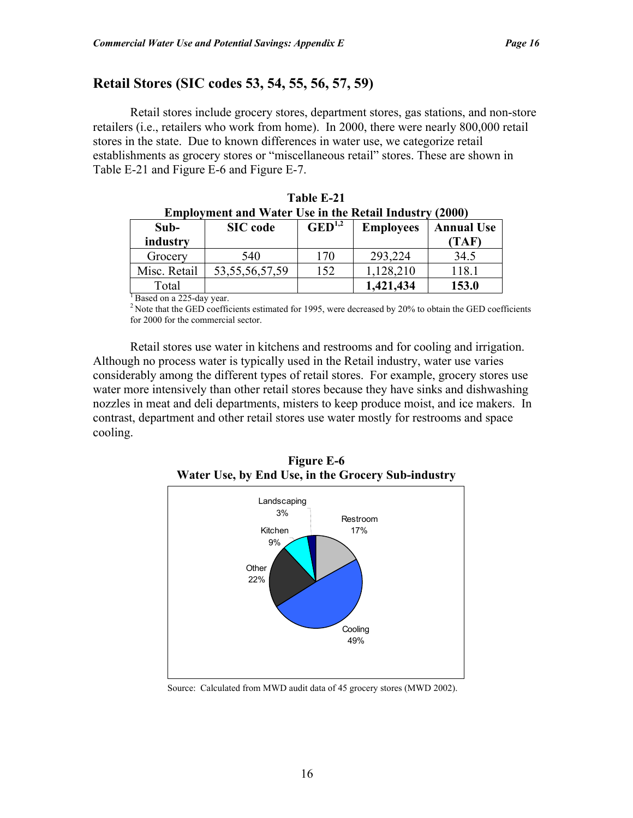# **Retail Stores (SIC codes 53, 54, 55, 56, 57, 59)**

Retail stores include grocery stores, department stores, gas stations, and non-store retailers (i.e., retailers who work from home). In 2000, there were nearly 800,000 retail stores in the state. Due to known differences in water use, we categorize retail establishments as grocery stores or "miscellaneous retail" stores. These are shown in Table E-21 and Figure E-6 and Figure E-7.

|              | <b>Employment and Water Use in the Retail Industry (2000)</b> |                    |                  |                   |
|--------------|---------------------------------------------------------------|--------------------|------------------|-------------------|
| $Sub-$       | <b>SIC</b> code                                               | $\text{GED}^{1,2}$ | <b>Employees</b> | <b>Annual Use</b> |
| industry     |                                                               |                    |                  | (TAF)             |
| Grocery      | 540                                                           | 170                | 293,224          | 34.5              |
| Misc. Retail | 53, 55, 56, 57, 59                                            | 152                | 1,128,210        | 118.1             |
| Total        |                                                               |                    | 1,421,434        | 153.0             |

| Table E-21                                                    |
|---------------------------------------------------------------|
| <b>Employment and Water Use in the Retail Industry (2000)</b> |

<sup>1</sup> Based on a 225-day year.

<sup>2</sup> Note that the GED coefficients estimated for 1995, were decreased by 20% to obtain the GED coefficients for 2000 for the commercial sector.

Retail stores use water in kitchens and restrooms and for cooling and irrigation. Although no process water is typically used in the Retail industry, water use varies considerably among the different types of retail stores. For example, grocery stores use water more intensively than other retail stores because they have sinks and dishwashing nozzles in meat and deli departments, misters to keep produce moist, and ice makers. In contrast, department and other retail stores use water mostly for restrooms and space cooling.



**Figure E-6 Water Use, by End Use, in the Grocery Sub-industry**

Source: Calculated from MWD audit data of 45 grocery stores (MWD 2002).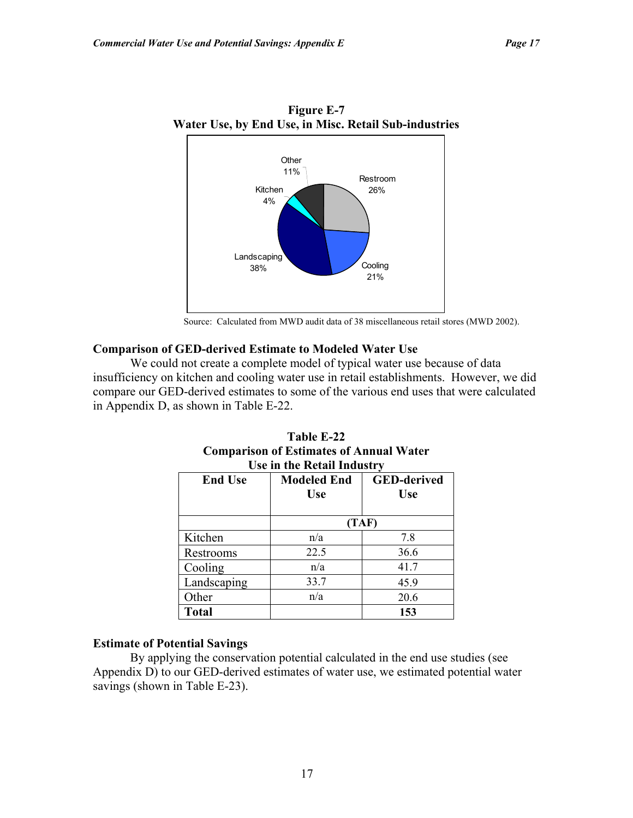

**Figure E-7 Water Use, by End Use, in Misc. Retail Sub-industries** 

Source: Calculated from MWD audit data of 38 miscellaneous retail stores (MWD 2002).

### **Comparison of GED-derived Estimate to Modeled Water Use**

We could not create a complete model of typical water use because of data insufficiency on kitchen and cooling water use in retail establishments. However, we did compare our GED-derived estimates to some of the various end uses that were calculated in Appendix D, as shown in Table E-22.

| Use in the Retail Industry |                                  |                                  |  |  |  |  |  |
|----------------------------|----------------------------------|----------------------------------|--|--|--|--|--|
| <b>End Use</b>             | <b>Modeled End</b><br><b>Use</b> | <b>GED-derived</b><br><b>Use</b> |  |  |  |  |  |
|                            | (TAF)                            |                                  |  |  |  |  |  |
| Kitchen                    | n/a                              | 7.8                              |  |  |  |  |  |
| Restrooms                  | 22.5                             | 36.6                             |  |  |  |  |  |
| Cooling                    | n/a                              | 41.7                             |  |  |  |  |  |
| Landscaping                | 33.7                             | 45.9                             |  |  |  |  |  |
| Other                      | n/a                              | 20.6                             |  |  |  |  |  |
| <b>Total</b>               |                                  | 153                              |  |  |  |  |  |

# **Table E-22 Comparison of Estimates of Annual Water**

#### **Estimate of Potential Savings**

By applying the conservation potential calculated in the end use studies (see Appendix D) to our GED-derived estimates of water use, we estimated potential water savings (shown in Table E-23).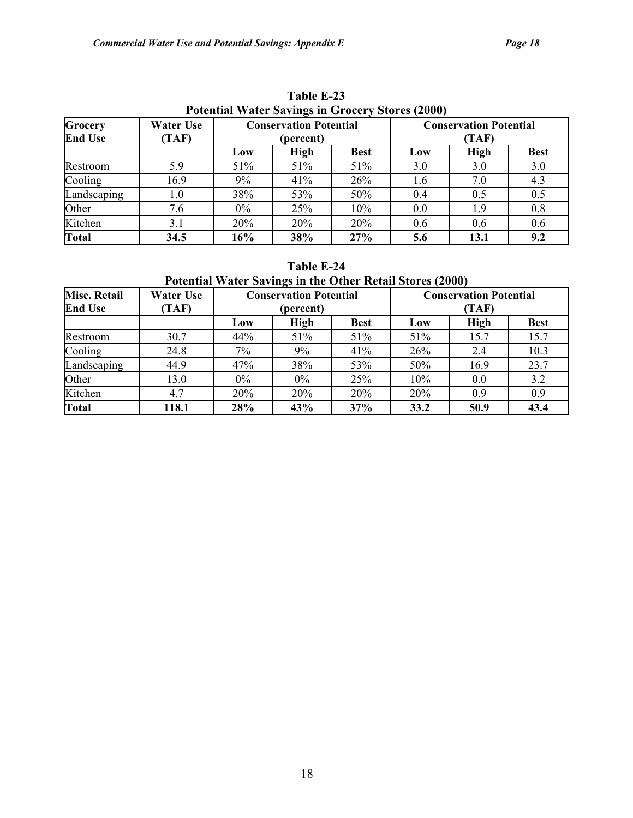| Grocery<br><b>End Use</b> | <b>Water Use</b><br>(TAF) | T otential Water Savings in Groecry Stores (2000)<br><b>Conservation Potential</b><br>(percent) |      |             | <b>Conservation Potential</b><br>(TAF) |             |             |  |
|---------------------------|---------------------------|-------------------------------------------------------------------------------------------------|------|-------------|----------------------------------------|-------------|-------------|--|
|                           |                           | Low                                                                                             | High | <b>Best</b> | Low                                    | <b>High</b> | <b>Best</b> |  |
| Restroom                  | 5.9                       | 51%                                                                                             | 51%  | 51%         | 3.0                                    | 3.0         | 3.0         |  |
| Cooling                   | 16.9                      | 9%                                                                                              | 41%  | 26%         | 1.6                                    | 7.0         | 4.3         |  |
| Landscaping               | $1.0\,$                   | 38%                                                                                             | 53%  | 50%         | 0.4                                    | 0.5         | 0.5         |  |
| Other                     | 7.6                       | $0\%$                                                                                           | 25%  | 10%         | 0.0                                    | 1.9         | 0.8         |  |
| Kitchen                   | 3.1                       | 20%                                                                                             | 20%  | 20%         | 0.6                                    | 0.6         | 0.6         |  |
| <b>Total</b>              | 34.5                      | 16%                                                                                             | 38%  | 27%         | 5.6                                    | 13.1        | 9.2         |  |

**Table E-23 Potential Water Savings in Grocery Stores (2000)** 

### **Table E-24**

**Potential Water Savings in the Other Retail Stores (2000)** 

| <b>Misc. Retail</b><br><b>End Use</b> | <b>Water Use</b><br>(TAF) |       | <b>Conservation Potential</b><br>(percent) |             |      | <b>Conservation Potential</b><br>(TAF) |             |  |
|---------------------------------------|---------------------------|-------|--------------------------------------------|-------------|------|----------------------------------------|-------------|--|
|                                       |                           | Low   | <b>High</b>                                | <b>Best</b> | Low  | <b>High</b>                            | <b>Best</b> |  |
| Restroom                              | 30.7                      | 44%   | 51%                                        | 51%         | 51%  | 15.7                                   | 15.7        |  |
| Cooling                               | 24.8                      | 7%    | 9%                                         | 41%         | 26%  | 2.4                                    | 10.3        |  |
| Landscaping                           | 44.9                      | 47%   | 38%                                        | 53%         | 50%  | 16.9                                   | 23.7        |  |
| Other                                 | 13.0                      | $0\%$ | $0\%$                                      | 25%         | 10%  | 0.0                                    | 3.2         |  |
| Kitchen                               | 4.7                       | 20%   | 20%                                        | 20%         | 20%  | 0.9                                    | 0.9         |  |
| <b>Total</b>                          | 118.1                     | 28%   | 43%                                        | 37%         | 33.2 | 50.9                                   | 43.4        |  |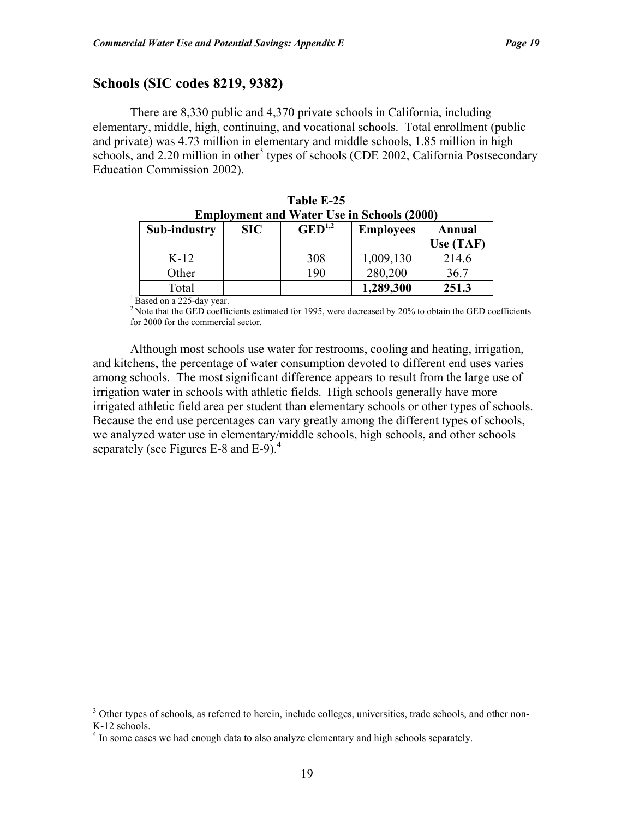# **Schools (SIC codes 8219, 9382)**

There are 8,330 public and 4,370 private schools in California, including elementary, middle, high, continuing, and vocational schools. Total enrollment (public and private) was 4.73 million in elementary and middle schools, 1.85 million in high schools, and 2.20 million in other<sup>3</sup> types of schools (CDE 2002, California Postsecondary Education Commission 2002).

| <b>Sub-industry</b> | SIC | $\text{GED}^{1,2}$ | <b>Employees</b> | Annual<br>Use (TAF) |
|---------------------|-----|--------------------|------------------|---------------------|
| $K-12$              |     | 308                | 1,009,130        | 214.6               |
| Other               |     | 190                | 280,200          | 36.7                |
| Total               |     |                    | 1,289,300        | 251.3               |

| Table E-25                                        |
|---------------------------------------------------|
| <b>Employment and Water Use in Schools (2000)</b> |

<sup>1</sup> Based on a 225-day year.

1

<sup>2</sup> Note that the GED coefficients estimated for 1995, were decreased by 20% to obtain the GED coefficients for 2000 for the commercial sector.

Although most schools use water for restrooms, cooling and heating, irrigation, and kitchens, the percentage of water consumption devoted to different end uses varies among schools. The most significant difference appears to result from the large use of irrigation water in schools with athletic fields. High schools generally have more irrigated athletic field area per student than elementary schools or other types of schools. Because the end use percentages can vary greatly among the different types of schools, we analyzed water use in elementary/middle schools, high schools, and other schools separately (see Figures E-8 and E-9).<sup>4</sup>

<sup>&</sup>lt;sup>3</sup> Other types of schools, as referred to herein, include colleges, universities, trade schools, and other non-K-12 schools.

<sup>&</sup>lt;sup>4</sup> In some cases we had enough data to also analyze elementary and high schools separately.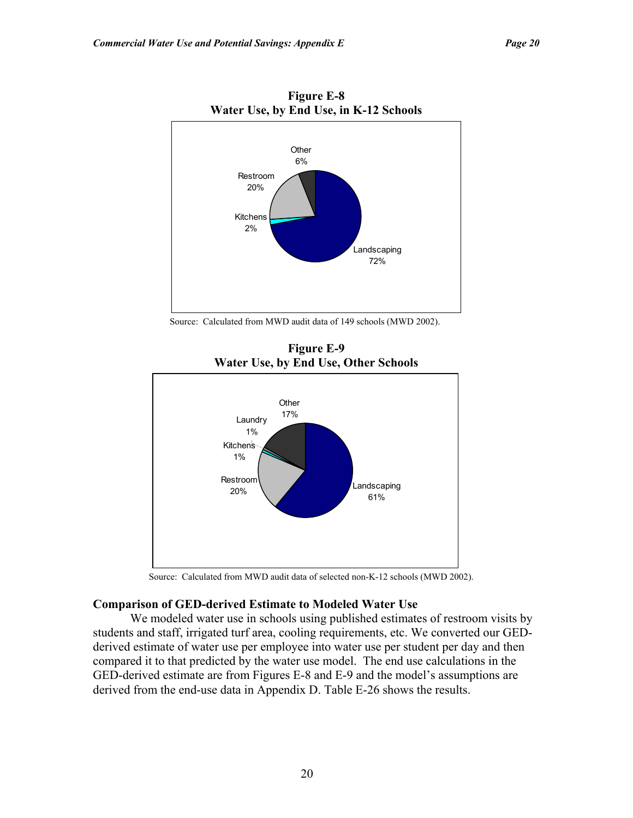

**Figure E-8** 

Source: Calculated from MWD audit data of 149 schools (MWD 2002).

**Figure E-9 Water Use, by End Use, Other Schools**  Landscaping 61% Restroom 20% **Kitchens** 1% Laundry 1% **Other** 17%



Source: Calculated from MWD audit data of selected non-K-12 schools (MWD 2002).

### **Comparison of GED-derived Estimate to Modeled Water Use**

We modeled water use in schools using published estimates of restroom visits by students and staff, irrigated turf area, cooling requirements, etc. We converted our GEDderived estimate of water use per employee into water use per student per day and then compared it to that predicted by the water use model. The end use calculations in the GED-derived estimate are from Figures E-8 and E-9 and the model's assumptions are derived from the end-use data in Appendix D. Table E-26 shows the results.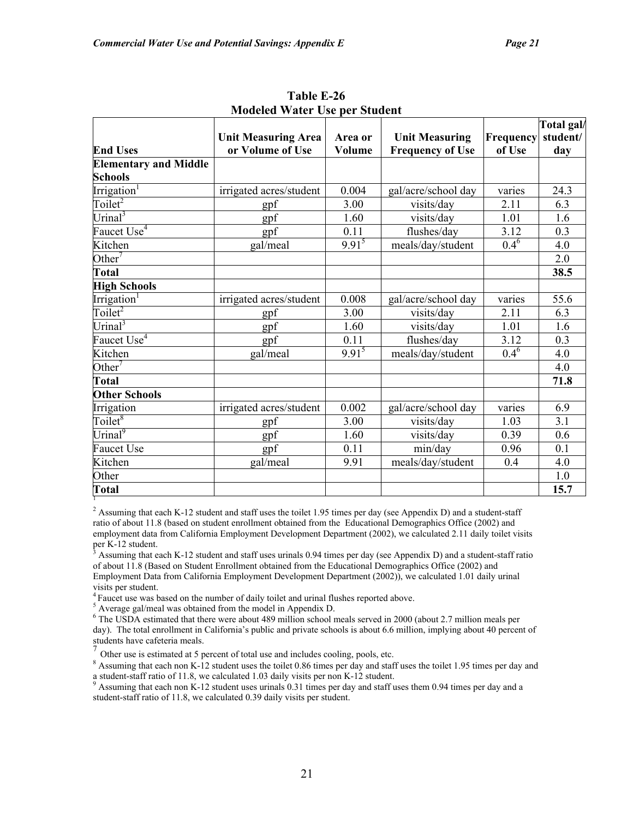|                              |                            |            |                         |           | Total gal/ |
|------------------------------|----------------------------|------------|-------------------------|-----------|------------|
|                              | <b>Unit Measuring Area</b> | Area or    | <b>Unit Measuring</b>   | Frequency | student/   |
| <b>End Uses</b>              | or Volume of Use           | Volume     | <b>Frequency of Use</b> | of Use    | day        |
| <b>Elementary and Middle</b> |                            |            |                         |           |            |
| <b>Schools</b>               |                            |            |                         |           |            |
| Irrigation <sup>1</sup>      | irrigated acres/student    | 0.004      | gal/acre/school day     | varies    | 24.3       |
| Toilet <sup>2</sup>          | gpf                        | 3.00       | visits/day              | 2.11      | 6.3        |
| Urinal <sup>3</sup>          | gpf                        | 1.60       | visits/day              | 1.01      | 1.6        |
| Faucet Use <sup>4</sup>      | gpf                        | 0.11       | flushes/day             | 3.12      | 0.3        |
| Kitchen                      | gal/meal                   | $9.91^{5}$ | meals/day/student       | $0.4^{6}$ | 4.0        |
| Other <sup>7</sup>           |                            |            |                         |           | 2.0        |
| <b>Total</b>                 |                            |            |                         |           | 38.5       |
| <b>High Schools</b>          |                            |            |                         |           |            |
| Irrigation <sup>1</sup>      | irrigated acres/student    | 0.008      | gal/acre/school day     | varies    | 55.6       |
| Toilet <sup>2</sup>          | gpf                        | 3.00       | visits/day              | 2.11      | 6.3        |
| Urinal <sup>3</sup>          | gpf                        | 1.60       | visits/day              | 1.01      | 1.6        |
| Faucet Use <sup>4</sup>      | gpf                        | 0.11       | flushes/day             | 3.12      | 0.3        |
| Kitchen                      | gal/meal                   | $9.91^{5}$ | meals/day/student       | $0.4^6$   | 4.0        |
| Other <sup>7</sup>           |                            |            |                         |           | 4.0        |
| Total                        |                            |            |                         |           | 71.8       |
| <b>Other Schools</b>         |                            |            |                         |           |            |
| Irrigation                   | irrigated acres/student    | 0.002      | gal/acre/school day     | varies    | 6.9        |
| Toilet $8$                   | gpf                        | 3.00       | visits/day              | 1.03      | 3.1        |
| Urinal <sup>9</sup>          | gpf                        | 1.60       | visits/day              | 0.39      | 0.6        |
| <b>Faucet Use</b>            | gpf                        | 0.11       | min/day                 | 0.96      | 0.1        |
| Kitchen                      | gal/meal                   | 9.91       | meals/day/student       | 0.4       | 4.0        |
| Other                        |                            |            |                         |           | 1.0        |
| <b>Total</b>                 |                            |            |                         |           | 15.7       |

**Table E-26 Modeled Water Use per Student** 

<sup>2</sup> Assuming that each K-12 student and staff uses the toilet 1.95 times per day (see Appendix D) and a student-staff ratio of about 11.8 (based on student enrollment obtained from the Educational Demographics Office (2002) and employment data from California Employment Development Department (2002), we calculated 2.11 daily toilet visits per K-12 student.<br> $\frac{3}{2}$  Assuming that as

 Assuming that each K-12 student and staff uses urinals 0.94 times per day (see Appendix D) and a student-staff ratio of about 11.8 (Based on Student Enrollment obtained from the Educational Demographics Office (2002) and Employment Data from California Employment Development Department (2002)), we calculated 1.01 daily urinal visits per student.

<sup>4</sup> Faucet use was based on the number of daily toilet and urinal flushes reported above.

 $5$  Average gal/meal was obtained from the model in Appendix D.

<sup>6</sup> The USDA estimated that there were about 489 million school meals served in 2000 (about 2.7 million meals per day). The total enrollment in California's public and private schools is about 6.6 million, implying about 40 percent of students have cafeteria meals.

Other use is estimated at 5 percent of total use and includes cooling, pools, etc.

<sup>8</sup> Assuming that each non K-12 student uses the toilet 0.86 times per day and staff uses the toilet 1.95 times per day and a student-staff ratio of 11.8, we calculated 1.03 daily visits per non K-12 student.<br><sup>9</sup> Assuming that each non K-12 student uses urinals 0.31 times per day and staff uses them 0.94 times per day and a

student-staff ratio of 11.8, we calculated 0.39 daily visits per student.